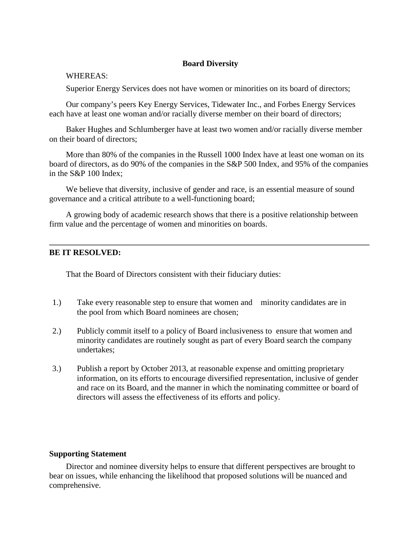## **Board Diversity**

## WHEREAS:

Superior Energy Services does not have women or minorities on its board of directors;

Our company's peers Key Energy Services, Tidewater Inc., and Forbes Energy Services each have at least one woman and/or racially diverse member on their board of directors;

Baker Hughes and Schlumberger have at least two women and/or racially diverse member on their board of directors;

More than 80% of the companies in the Russell 1000 Index have at least one woman on its board of directors, as do 90% of the companies in the S&P 500 Index, and 95% of the companies in the S&P 100 Index;

We believe that diversity, inclusive of gender and race, is an essential measure of sound governance and a critical attribute to a well-functioning board;

A growing body of academic research shows that there is a positive relationship between firm value and the percentage of women and minorities on boards.

## **BE IT RESOLVED:**

That the Board of Directors consistent with their fiduciary duties:

- 1.) Take every reasonable step to ensure that women and minority candidates are in the pool from which Board nominees are chosen;
- 2.) Publicly commit itself to a policy of Board inclusiveness to ensure that women and minority candidates are routinely sought as part of every Board search the company undertakes;
- 3.) Publish a report by October 2013, at reasonable expense and omitting proprietary information, on its efforts to encourage diversified representation, inclusive of gender and race on its Board, and the manner in which the nominating committee or board of directors will assess the effectiveness of its efforts and policy.

## **Supporting Statement**

Director and nominee diversity helps to ensure that different perspectives are brought to bear on issues, while enhancing the likelihood that proposed solutions will be nuanced and comprehensive.